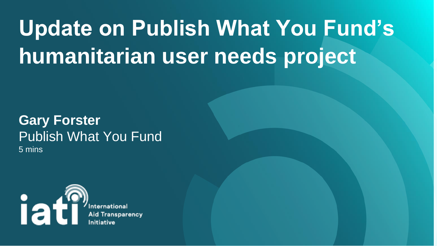# **Update on Publish What You Fund's humanitarian user needs project**

#### **Gary Forster**  Publish What You Fund 5 mins



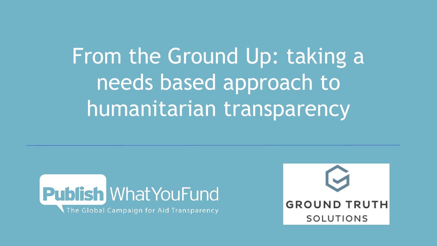# From the Ground Up: taking a needs based approach to humanitarian transparency



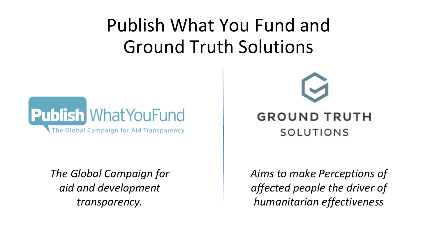### Publish What You Fund and Ground Truth Solutions



*The Global Campaign for aid and development transparency.*



#### **GROUND TRUTH** SOLUTIONS

*Aims to make Perceptions of affected people the driver of humanitarian effectiveness*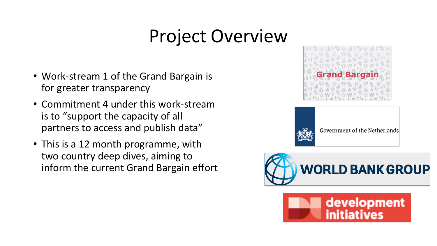## Project Overview

- Work-stream 1 of the Grand Bargain is for greater transparency
- Commitment 4 under this work-stream is to "support the capacity of all partners to access and publish data"
- This is a 12 month programme, with two country deep dives, aiming to inform the current Grand Bargain effort





Government of the Netherlands



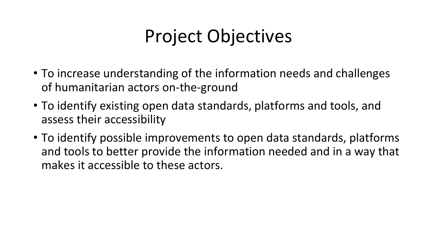## Project Objectives

- To increase understanding of the information needs and challenges of humanitarian actors on-the-ground
- To identify existing open data standards, platforms and tools, and assess their accessibility
- To identify possible improvements to open data standards, platforms and tools to better provide the information needed and in a way that makes it accessible to these actors.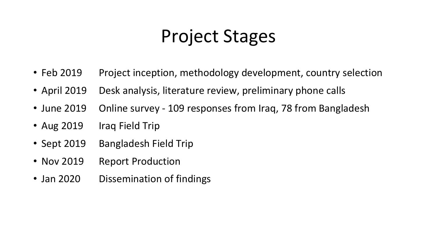## Project Stages

- 
- 
- 
- 
- 
- 
- 
- 
- 
- 
- Aug 2019 Iraq Field Trip
- Sept 2019 Bangladesh Field Trip
- Nov 2019 Report Production
- Jan 2020 Dissemination of findings

• Feb 2019 Project inception, methodology development, country selection • April 2019 Desk analysis, literature review, preliminary phone calls • June 2019 Online survey - 109 responses from Iraq, 78 from Bangladesh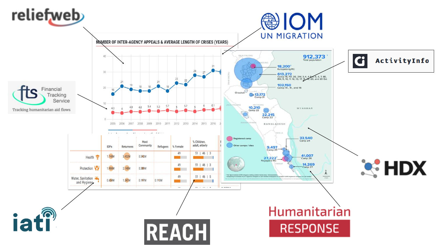#### reliefweb

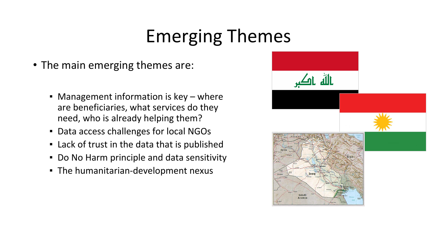### Emerging Themes

- The main emerging themes are:
	- Management information is key where are beneficiaries, what services do they need, who is already helping them?
	- Data access challenges for local NGOs
	- Lack of trust in the data that is published
	- Do No Harm principle and data sensitivity
	- The humanitarian-development nexus